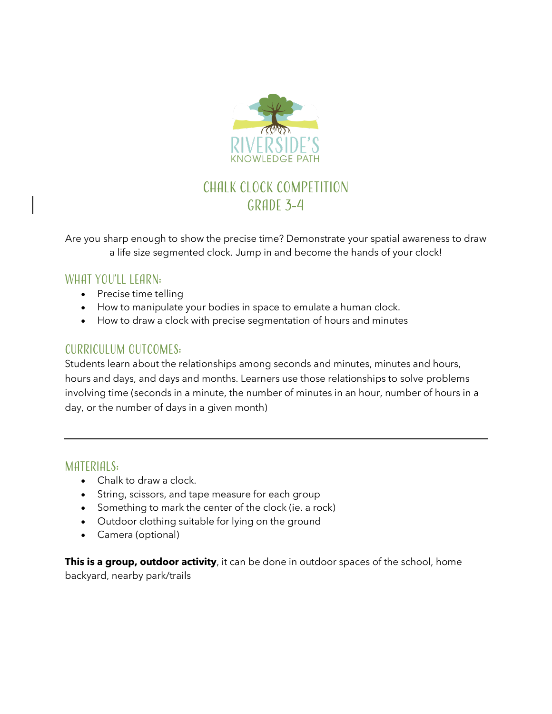

# Chalk Clock Competition GRADE 3-4

Are you sharp enough to show the precise time? Demonstrate your spatial awareness to draw a life size segmented clock. Jump in and become the hands of your clock!

### WHAT YOU'LL LEARN:

- Precise time telling
- How to manipulate your bodies in space to emulate a human clock.
- How to draw a clock with precise segmentation of hours and minutes

# Curriculum outcomes:

Students learn about the relationships among seconds and minutes, minutes and hours, hours and days, and days and months. Learners use those relationships to solve problems involving time (seconds in a minute, the number of minutes in an hour, number of hours in a day, or the number of days in a given month)

### MATERIALS:

- Chalk to draw a clock.
- String, scissors, and tape measure for each group
- Something to mark the center of the clock (ie. a rock)
- Outdoor clothing suitable for lying on the ground
- Camera (optional)

**This is a group, outdoor activity**, it can be done in outdoor spaces of the school, home backyard, nearby park/trails